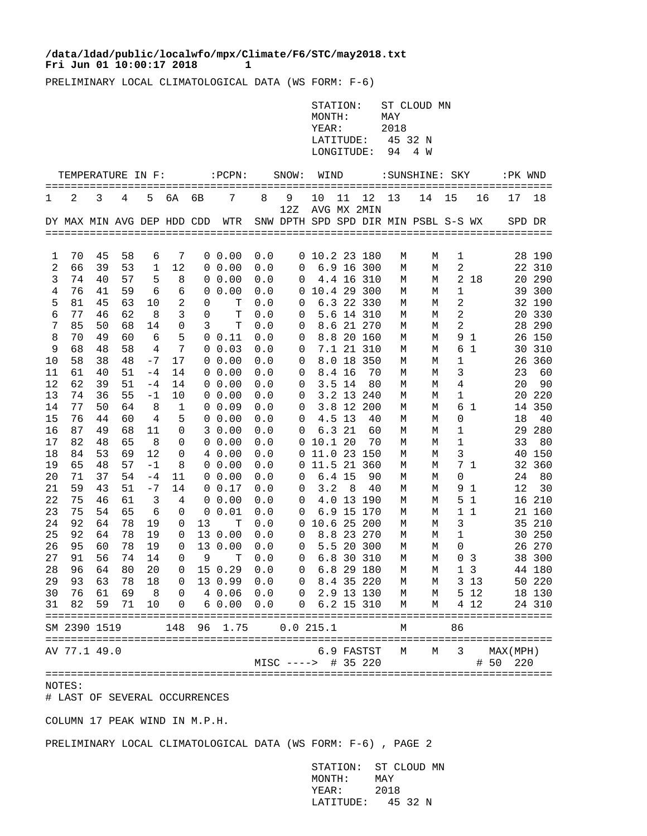## **Fri Jun 01 10:00:17 2018** 1 **/data/ldad/public/localwfo/mpx/Climate/F6/STC/may2018.txt**

PRELIMINARY LOCAL CLIMATOLOGICAL DATA (WS FORM: F-6)

| STATION: ST CLOUD MN |  |
|----------------------|--|
| MAY<br>MONTH:        |  |
| 2018<br>YEAR:        |  |
| LATITUDE: 45 32 N    |  |
| LONGITUDE: 94 4 W    |  |

| TEMPERATURE IN F: |                            |          |          | $:$ $PCPN:$<br>SNOW: |             |             | WIND         |            |                                      |             | : SUNSHINE: SKY |                      |        |        | :PK WND        |                |             |               |
|-------------------|----------------------------|----------|----------|----------------------|-------------|-------------|--------------|------------|--------------------------------------|-------------|-----------------|----------------------|--------|--------|----------------|----------------|-------------|---------------|
| 1                 | $\overline{2}$             | 3        | 4        | 5                    | бA          | 6В          | 7            | 8          | 9<br>12Z                             | 10          | 11              | 12<br>AVG MX 2MIN    | 13     | 14     | 15             | 16             | 17          | 18            |
|                   | DY MAX MIN AVG DEP HDD CDD |          |          |                      |             |             | WTR          |            | SNW DPTH SPD SPD DIR MIN PSBL S-S WX |             |                 |                      |        |        |                |                | SPD DR      |               |
|                   |                            |          |          |                      |             |             |              |            |                                      |             |                 |                      |        |        |                |                |             |               |
| 1                 | 70                         | 45       | 58       | 6                    | 7           |             | $0\;\;0.00$  | 0.0        | 0                                    | 10.2 23 180 |                 |                      | М      | М      | 1              |                |             | 28 190        |
| 2                 | 66                         | 39       | 53       | 1                    | 12          |             | $0\;\;0.00$  | 0.0        | 0                                    |             |                 | 6.9 16 300           | М      | М      | 2              |                |             | 22 310        |
| 3                 | 74                         | 40       | 57       | 5                    | 8           | 0           | 0.00         | 0.0        | 0                                    |             |                 | 4.4 16 310           | М      | М      | $\overline{a}$ | 18             |             | 20 290        |
| 4                 | 76                         | 41       | 59       | 6                    | 6           | $\mathbf 0$ | 0.00         | 0.0        | 0                                    | 10.4 29 300 |                 |                      | М      | М      | 1              |                | 39          | 300           |
| 5                 | 81                         | 45       | 63       | 10                   | 2           | 0           | T            | 0.0        | 0                                    |             |                 | 6.3 22 330           | М      | М      | 2              |                |             | 32 190        |
| 6                 | 77                         | 46       | 62       | 8                    | 3           | $\Omega$    | T            | 0.0        | 0                                    |             |                 | 5.6 14 310           | М      | М      | 2              |                | 20          | 330           |
| 7                 | 85                         | 50       | 68       | 14                   | $\mathbf 0$ | 3           | T            | 0.0        | 0                                    |             |                 | 8.6 21 270           | М      | М      | $\overline{2}$ |                | 28          | 290           |
| 8                 | 70                         | 49       | 60       | 6                    | 5           | 0           | 0.11         | $0.0$      | 0                                    |             |                 | 8.8 20 160           | М      | М      | 9              | 1              | 26          | 150           |
| 9                 | 68                         | 48       | 58       | 4                    | 7           | 0           | 0.03         | $0.0$      | 0                                    |             |                 | 7.1 21 310           | М      | М      | 6              | 1              |             | 30 310        |
| 10                | 58                         | 38       | 48       | $-7$                 | 17          |             | $0\;\;0.00$  | 0.0        | 0                                    |             |                 | 8.0 18 350           | М      | М      | 1              |                | 26          | 360           |
| 11                | 61                         | 40       | 51       | $-4$                 | 14          |             | $0\;\;0.00$  | 0.0        | 0                                    |             | 8.4 16          | 70                   | М      | М      | 3              |                | 23          | 60            |
| 12                | 62                         | 39       | 51       | $-4$                 | 14          |             | $0\;\;0.00$  | 0.0        | 0                                    |             | 3.5 14          | 80                   | М      | М      | 4              |                | 20          | 90            |
| 13                | 74                         | 36       | 55       | -1                   | 10          |             | $0\;\;0.00$  | 0.0        | 0                                    |             |                 | 3.2 13 240           | М      | М      | 1              |                |             | 20 220        |
| 14                | 77                         | 50       | 64       | 8                    | 1           |             | $0\;\;0.09$  | 0.0        | 0                                    |             |                 | 3.8 12 200           | М      | М      | 6              | $\mathbf{1}$   | 14          | 350           |
| 15                | 76                         | 44       | 60       | 4                    | 5           | 0           | 0.00         | 0.0        | 0                                    |             | 4.5 13          | 40                   | М      | М      | 0              |                | 18          | 40            |
| 16                | 87                         | 49       | 68       | 11                   | 0           |             | 30.00        | 0.0        | 0                                    |             | 6.321           | 60                   | М      | М      | 1              |                | 29          | 280           |
| 17                | 82                         | 48       | 65       | 8                    | 0           |             | $0\;\;0.00$  | 0.0        | 0                                    | 10.1 20     |                 | 70                   | М      | М      | 1              |                | 33          | 80            |
| 18                | 84                         | 53       | 69       | 12                   | $\mathbf 0$ |             | 4 0.00       | 0.0        | 0                                    | 11.0 23 150 |                 |                      | М      | М      | 3              |                | 40          | 150           |
| 19                | 65                         | 48       | 57       | $-1$                 | 8           |             | $0\;\;0.00$  | 0.0        | 0                                    | 11.5 21 360 |                 |                      | М      | М      |                | 7 <sub>1</sub> | 32          | 360           |
| 20                | 71                         | 37       | 54       | $-4$                 | 11          |             | $0\;\;0.00$  | 0.0        | 0                                    |             | 6.4 15          | 90                   | М      | М      | 0              |                | 24          | 80            |
| 21                | 59                         | 43       | 51       | $-7$                 | 14          |             | 0 0.17       | $0.0$      | 0                                    | 3.2         | 8               | 40                   | М      | М      | 9              | $\mathbf{1}$   | 12          | 30            |
| 22                | 75                         | 46       | 61       | 3                    | 4           |             | $0\;\;0.00$  | 0.0        | 0                                    |             |                 | 4.0 13 190           | М      | М      | 5              | 1              |             | 16 210        |
| 23                | 75                         | 54       | 65       | 6                    | 0           | 0           | 0.01         | 0.0        | 0                                    |             |                 | 6.9 15 170           | М      | М      | 1              | 1              | 21          | 160           |
| 24                | 92<br>92                   | 64       | 78<br>78 | 19                   | 0           | 13          | т<br>13 0.00 | 0.0        | 0                                    | 10.6 25     |                 | -200                 | М      | М      | 3              |                | 35          | 210           |
| 25<br>26          | 95                         | 64<br>60 | 78       | 19<br>19             | 0<br>0      |             | 13 0.00      | 0.0<br>0.0 | 0<br>0                               | 5.5         |                 | 8.8 23 270<br>20 300 | М<br>М | М<br>М | 1<br>$\Omega$  |                | 30          | 250<br>26 270 |
| 27                | 91                         | 56       | 74       | 14                   | 0           | 9           | т            | 0.0        | 0                                    |             |                 | 6.8 30 310           | М      | М      |                | 0 <sup>3</sup> |             | 38 300        |
| 28                | 96                         | 64       | 80       | 20                   | 0           |             | 15 0.29      | 0.0        | 0                                    |             |                 | 6.8 29 180           | М      | М      | $\mathbf 1$    | 3              |             | 44 180        |
| 29                | 93                         | 63       | 78       | 18                   | 0           |             | 13 0.99      | 0.0        | 0                                    |             |                 | 8.4 35 220           | М      | М      | 3              | 13             |             | 50 220        |
| 30                | 76                         | 61       | 69       | 8                    | 0           |             | 4 0.06       | 0.0        | 0                                    |             |                 | 2.9 13 130           | М      | М      | 5              | 12             |             | 18 130        |
| 31                | 82                         | 59       | 71       | 10                   | $\Omega$    | 6           | 0.00         | 0.0        | 0                                    |             | $6.2$ 15        | 310                  | М      | М      | 4              | 12             |             | 24 310        |
|                   |                            |          |          |                      |             |             |              |            |                                      |             |                 |                      |        |        |                |                |             |               |
|                   | SM 2390 1519               |          |          |                      | 148         | 96          | 1.75         |            | 0.0 215.1                            |             |                 |                      | М      |        | 86             |                |             |               |
|                   | AV 77.1 49.0               |          |          |                      |             |             |              |            |                                      |             |                 | 6.9 FASTST           | М      | М      | 3              |                | MAX (MPH)   |               |
|                   |                            |          |          |                      |             |             |              |            | $MISC$ ---->                         |             |                 | # 35 220             |        |        |                |                | # 50<br>220 |               |
|                   | =================          |          |          |                      |             |             |              |            |                                      |             |                 |                      |        |        |                |                |             |               |

NOTES:

# LAST OF SEVERAL OCCURRENCES

COLUMN 17 PEAK WIND IN M.P.H.

PRELIMINARY LOCAL CLIMATOLOGICAL DATA (WS FORM: F-6) , PAGE 2

 STATION: ST CLOUD MN MONTH: MAY YEAR: 2018 LATITUDE: 45 32 N